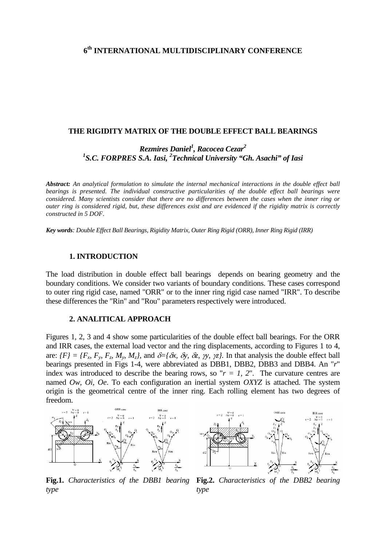# **6th INTERNATIONAL MULTIDISCIPLINARY CONFERENCE**

#### **THE RIGIDITY MATRIX OF THE DOUBLE EFFECT BALL BEARINGS**

*Rezmires Daniel1 , Racocea Cezar2* <sup>1</sup>S.C. FORPRES S.A. Iasi, <sup>2</sup> Technical University "Gh. Asachi" of Iasi

*Abstract: An analytical formulation to simulate the internal mechanical interactions in the double effect ball bearings is presented. The individual constructive particularities of the double effect ball bearings were considered. Many scientists consider that there are no differences between the cases when the inner ring or outer ring is considered rigid, but, these differences exist and are evidenced if the rigidity matrix is correctly constructed in 5 DOF*.

*Key words: Double Effect Ball Bearings, Rigidity Matrix, Outer Ring Rigid (ORR), Inner Ring Rigid (IRR)* 

### **1. INTRODUCTION**

The load distribution in double effect ball bearings depends on bearing geometry and the boundary conditions. We consider two variants of boundary conditions. These cases correspond to outer ring rigid case, named "ORR" or to the inner ring rigid case named "IRR". To describe these differences the "Rin" and "Rou" parameters respectively were introduced.

### **2. ANALITICAL APPROACH**

Figures 1, 2, 3 and 4 show some particularities of the double effect ball bearings. For the ORR and IRR cases, the external load vector and the ring displacements, according to Figures 1 to 4, are:  $\{F\} = \{F_x, F_y, F_z, M_y, M_z\}$ , and  $\delta = \{\delta x, \delta y, \delta z, \gamma y, \gamma z\}$ . In that analysis the double effect ball bearings presented in Figs 1-4, were abbreviated as DBB1, DBB2, DBB3 and DBB4. An "*r*" index was introduced to describe the bearing rows, so " $r = 1$ , 2". The curvature centres are named *Ow, Oi, Oe*. To each configuration an inertial system *OXYZ* is attached. The system origin is the geometrical centre of the inner ring. Each rolling element has two degrees of freedom.





**Fig.1.** *Characteristics of the DBB1 bearing type*

**Fig.2.** *Characteristics of the DBB2 bearing type*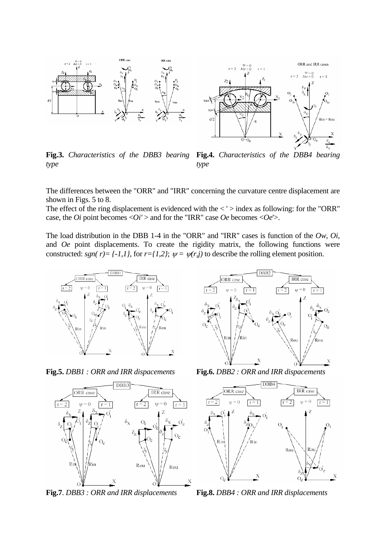



**Fig.3.** *Characteristics of the DBB3 bearing type*

**Fig.4.** *Characteristics of the DBB4 bearing type*

The differences between the "ORR" and "IRR" concerning the curvature centre displacement are shown in Figs. 5 to 8.

The effect of the ring displacement is evidenced with the  $\langle \cdot \rangle$  index as following: for the "ORR" case, the *Oi* point becomes  $\langle Oi' \rangle$  and for the "IRR" case *Oe* becomes  $\langle Oe \rangle$ .

The load distribution in the DBB 1-4 in the "ORR" and "IRR" cases is function of the *Ow*, *Oi*, and *Oe* point displacements. To create the rigidity matrix, the following functions were constructed: *sgn( r)* =  $\{-1,1\}$ , for  $r=\{1,2\}$ ;  $\psi = \psi(r,j)$  to describe the rolling element position.





**Fig.7**. *DBB3 : ORR and IRR displacements* **Fig.8.** *DBB4 : ORR and IRR displacements*



**Fig.5.** *DBB1 : ORR and IRR dispacements* **Fig.6.** *DBB2 : ORR and IRR dispacements*

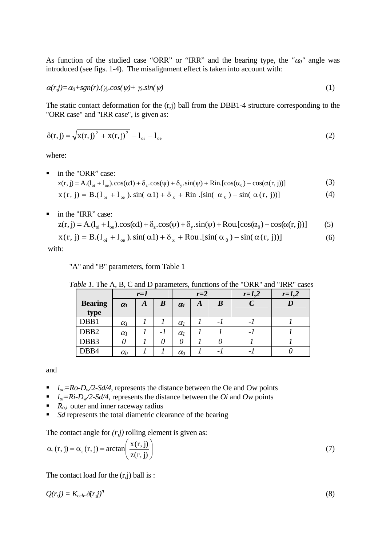As function of the studied case "ORR" or "IRR" and the bearing type, the  $\alpha_0$ " angle was introduced (see figs. 1-4). The misalignment effect is taken into account with:

$$
\alpha(r,j) = \alpha_0 + sgn(r) \cdot (\gamma_r \cos(\psi) + \gamma_z \sin(\psi)) \tag{1}
$$

The static contact deformation for the (r,j) ball from the DBB1-4 structure corresponding to the "ORR case" and "IRR case", is given as:

$$
\delta(r, j) = \sqrt{x(r, j)^{2} + x(r, j)^{2}} - l_{oi} - l_{oe}
$$
\n(2)

where:

 in the "ORR" case:  $z(r, j) = A(1_{oi} + 1_{oe})\cos(\alpha 1) + \delta_z \cos(\psi) + \delta_y \sin(\psi) + Rin[\cos(\alpha_0) - \cos(\alpha(r, j))]$  (3)

$$
x(r, j) = B.(1oi + 1oe), sin( \alpha 1) + \deltax + Rin.[sin( \alpha0) - sin( \alpha(r, j))]
$$
\n(4)

■ in the "IRR" case:

 $z(r, j) = A(1_{oi} + 1_{oe})\cos(\alpha 1) + \delta_z \cos(\psi) + \delta_y \sin(\psi) + R \text{ ou } [\cos(\alpha_0) - \cos(\alpha(r, j))]$  (5)

$$
x(r, j) = B.(l_{oi} + l_{oe}).\sin(\alpha l) + \delta_x + \text{Rou.}[\sin(\alpha_0) - \sin(\alpha(r, j))]
$$
(6)

with:

"A" and "B" parameters, form Table 1

|                  | $r=1$                 |   |                  | $r=2$                 |   |          | $r=1,2$                  | $r=1,2$ |
|------------------|-----------------------|---|------------------|-----------------------|---|----------|--------------------------|---------|
| <b>Bearing</b>   | $\alpha$ <sub>1</sub> | A | $\boldsymbol{B}$ | $\alpha$ <sub>I</sub> | Α | $\bm{B}$ | $\overline{C}$           |         |
| type             |                       |   |                  |                       |   |          |                          |         |
| DBB1             | $\alpha$              |   |                  | $\alpha$ <sub>l</sub> |   | $-1$     | $\overline{\phantom{0}}$ |         |
| DBB <sub>2</sub> | $\alpha$              |   | -1               | $\alpha$              |   |          | - 1                      |         |
| DBB3             |                       |   |                  | 0                     |   |          |                          |         |
| DBB4             | $\alpha_0$            |   |                  | $\alpha_0$            |   | - 1      | - 1                      |         |

and

- $I_{oe} = Ro D_w/2-Sd/4$ , represents the distance between the Oe and Ow points
- $I_{oi}=Ri-D_w/2-Sd/4$ , represents the distance between the *Oi* and *Ow* points
- $R_{o,i}$  outer and inner raceway radius
- *Sd* represents the total diametric clearance of the bearing

The contact angle for  $(r, j)$  rolling element is given as:

$$
\alpha_{i}(r, j) = \alpha_{e}(r, j) = \arctan\left(\frac{x(r, j)}{z(r, j)}\right)
$$
\n(7)

The contact load for the  $(r,i)$  ball is :

$$
Q(r,j) = K_{ech} \cdot \mathcal{S}(r,j)^n \tag{8}
$$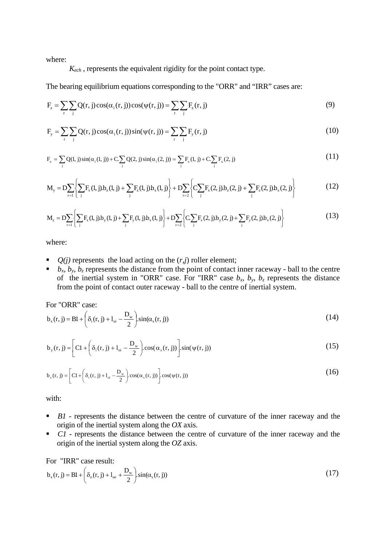where:

 $K_{ech}$ , represents the equivalent rigidity for the point contact type.

The bearing equilibrium equations corresponding to the "ORR" and "IRR" cases are:

$$
F_z = \sum_r \sum_j Q(r, j) \cos(\alpha_i(r, j)) \cos(\psi(r, j)) = \sum_r \sum_j F_z(r, j)
$$
\n(9)

$$
F_{y} = \sum_{r} \sum_{j} Q(r, j) \cos(\alpha_{i}(r, j)) \sin(\psi(r, j)) = \sum_{r} \sum_{j} F_{y}(r, j)
$$
(10)

$$
F_x = \sum_j Q(l, j) \sin(\alpha_i(l, j)) + C \sum_j Q(2, j) \sin(\alpha_i(2, j)) = \sum_j F_x(l, j) + C \sum_j F_x(2, j)
$$
(11)

$$
M_{y} = D \sum_{r=1} \left\{ \sum_{j} F_{x}(l, j) b_{z}(l, j) + \sum_{j} F_{z}(l, j) b_{x}(l, j) \right\} + D \sum_{r=2} \left\{ C \sum_{j} F_{x}(2, j) b_{z}(2, j) + \sum_{j} F_{z}(2, j) b_{x}(2, j) \right\}
$$
(12)

$$
M_{z} = D \sum_{r=1} \left\{ \sum_{j} F_{x}(l, j) b_{y}(l, j) + \sum_{j} F_{y}(l, j) b_{x}(l, j) \right\} + D \sum_{r=2} \left\{ C \sum_{j} F_{x}(2, j) b_{y}(2, j) + \sum_{j} F_{y}(2, j) b_{x}(2, j) \right\}
$$
(13)

where:

- $\bullet$  *Q(j)* represents the load acting on the  $(r,i)$  roller element;
- $\bullet$  *b<sub>x</sub>, b<sub>y</sub>, b<sub>z</sub>* represents the distance from the point of contact inner raceway ball to the centre of the inertial system in "ORR" case. For "IRR" case  $b_x$ ,  $b_y$ ,  $b_z$  represents the distance from the point of contact outer raceway - ball to the centre of inertial system.

For "ORR" case:

$$
b_x(r, j) = Bl + \left(\delta_i(r, j) + l_{oi} - \frac{D_w}{2}\right) \sin(\alpha_s(r, j))
$$
\n(14)

$$
b_{y}(r, j) = \left[Cl + \left(\delta_{i}(r, j) + l_{oi} - \frac{D_{w}}{2}\right) \cos(\alpha_{s}(r, j))\right] \sin(\psi(r, j))
$$
\n(15)

$$
b_z(r, j) = \left[ C1 + \left( \delta_i(r, j) + l_{oi} - \frac{D_w}{2} \right) \cos(\alpha_s(r, j)) \right] \cos(\psi(r, j))
$$
\n(16)

with:

- **B1** represents the distance between the centre of curvature of the inner raceway and the origin of the inertial system along the *OX* axis.
- **C1** represents the distance between the centre of curvature of the inner raceway and the origin of the inertial system along the *OZ* axis.

For "IRR" case result:

$$
b_x(r, j) = B1 + \left(\delta_o(r, j) + l_{oe} + \frac{D_w}{2}\right) \sin(\alpha_s(r, j))
$$
\n(17)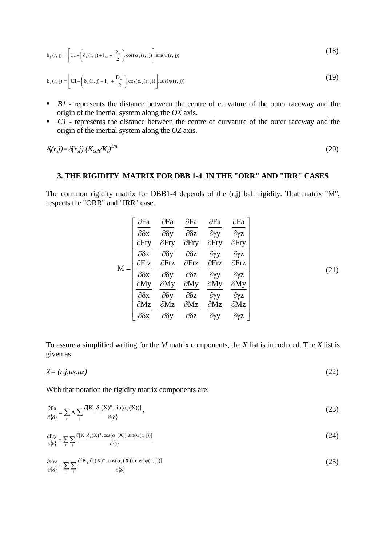$$
b_{y}(r, j) = \left[ C1 + \left( \delta_{o}(r, j) + I_{oe} + \frac{D_{w}}{2} \right) \cos(\alpha_{s}(r, j)) \right] \sin(\psi(r, j))
$$
\n(18)

$$
b_{z}(r, j) = \left[ C1 + \left( \delta_{o}(r, j) + I_{oe} + \frac{D_{w}}{2} \right) \cos(\alpha_{s}(r, j)) \right] \cdot \cos(\psi(r, j))
$$
\n(19)

- **B1** represents the distance between the centre of curvature of the outer raceway and the origin of the inertial system along the *OX* axis.
- **C1** represents the distance between the centre of curvature of the outer raceway and the origin of the inertial system along the *OZ* axis.

$$
\delta_i(r,j) = \delta(r,j) \cdot (K_{ech}/K_i)^{1/n} \tag{20}
$$

## **3. THE RIGIDITY MATRIX FOR DBB 1-4 IN THE "ORR" AND "IRR" CASES**

The common rigidity matrix for DBB1-4 depends of the (r,j) ball rigidity. That matrix "M", respects the "ORR" and "IRR" case.

$$
M = \begin{bmatrix} \frac{\partial Fa}{\partial \delta x} & \frac{\partial Fa}{\partial \delta y} & \frac{\partial Fa}{\partial \delta z} & \frac{\partial Fa}{\partial \gamma y} & \frac{\partial Fa}{\partial \gamma z} \\ \frac{\partial Fry}{\partial \delta x} & \frac{\partial Fry}{\partial \delta y} & \frac{\partial Fry}{\partial \delta z} & \frac{\partial Fry}{\partial \gamma y} & \frac{\partial Fry}{\partial \gamma z} \\ \frac{\partial Frz}{\partial \delta x} & \frac{\partial Frz}{\partial \delta y} & \frac{\partial Frz}{\partial \delta z} & \frac{\partial Frz}{\partial \gamma y} & \frac{\partial Frz}{\partial \gamma z} \\ \frac{\partial My}{\partial \delta x} & \frac{\partial My}{\partial \delta y} & \frac{\partial My}{\partial \delta z} & \frac{\partial My}{\partial \gamma y} & \frac{\partial My}{\partial \gamma z} \\ \frac{\partial Mz}{\partial \delta x} & \frac{\partial Mz}{\partial \delta y} & \frac{\partial Mz}{\partial \delta z} & \frac{\partial Mz}{\partial \gamma y} & \frac{\partial Mz}{\partial \gamma z} \end{bmatrix}
$$
(21)

To assure a simplified writing for the *M* matrix components, the *X* list is introduced. The *X* list is given as:

$$
X = (r, j, ux, uz) \tag{22}
$$

With that notation the rigidity matrix components are:

$$
\frac{\partial \mathbf{F}\mathbf{a}}{\partial \{\delta\}} = \sum_{\mathbf{r}} \mathbf{A} \cdot \sum_{\mathbf{i}} \frac{\partial [\mathbf{K}_{\mathbf{i}} \cdot \delta_{\mathbf{i}}(\mathbf{X})^{\mathbf{n}} \cdot \sin(\alpha_{\mathbf{i}}(\mathbf{X}))]}{\partial \{\delta\}},\tag{23}
$$

$$
\frac{\partial \text{Fry}}{\partial \{\delta\}} = \sum_{r} \sum_{j} \frac{\partial [K_i, \delta_i(X)^n \cdot \cos(\alpha_i(X)) \cdot \sin(\psi(r, j))] }{\partial \{\delta\}}
$$
(24)

$$
\frac{\partial \text{Frz}}{\partial \{\delta\}} = \sum_{r} \sum_{j} \frac{\partial [K_i \delta_i(X)^n \cdot \cos(\alpha_i(X)) \cdot \cos(\psi(r, j))] }{\partial \{\delta\}}
$$
(25)